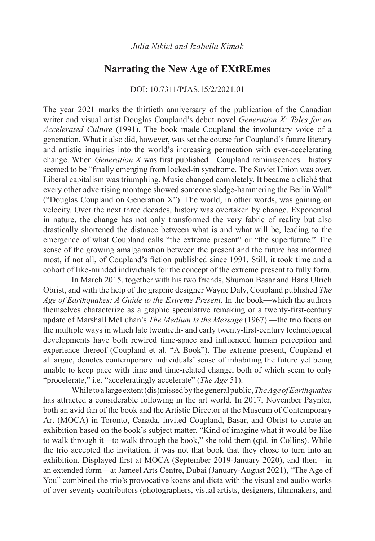## **Narrating the New Age of EXtREmes**

## DOI: 10.7311/PJAS.15/2/2021.01

The year 2021 marks the thirtieth anniversary of the publication of the Canadian writer and visual artist Douglas Coupland's debut novel *Generation X: Tales for an Accelerated Culture* (1991). The book made Coupland the involuntary voice of a generation. What it also did, however, was set the course for Coupland's future literary and artistic inquiries into the world's increasing permeation with ever-accelerating change. When *Generation X* was first published—Coupland reminiscences—history seemed to be "finally emerging from locked-in syndrome. The Soviet Union was over. Liberal capitalism was triumphing. Music changed completely. It became a cliché that every other advertising montage showed someone sledge-hammering the Berlin Wall" ("Douglas Coupland on Generation X"). The world, in other words, was gaining on velocity. Over the next three decades, history was overtaken by change. Exponential in nature, the change has not only transformed the very fabric of reality but also drastically shortened the distance between what is and what will be, leading to the emergence of what Coupland calls "the extreme present" or "the superfuture." The sense of the growing amalgamation between the present and the future has informed most, if not all, of Coupland's fiction published since 1991. Still, it took time and a cohort of like-minded individuals for the concept of the extreme present to fully form.

In March 2015, together with his two friends, Shumon Basar and Hans Ulrich Obrist, and with the help of the graphic designer Wayne Daly, Coupland published *The Age of Earthquakes: A Guide to the Extreme Present*. In the book—which the authors themselves characterize as a graphic speculative remaking or a twenty-first-century update of Marshall McLuhan's *The Medium Is the Message* (1967) —the trio focus on the multiple ways in which late twentieth- and early twenty-first-century technological developments have both rewired time-space and influenced human perception and experience thereof (Coupland et al. "A Book"). The extreme present, Coupland et al. argue, denotes contemporary individuals' sense of inhabiting the future yet being unable to keep pace with time and time-related change, both of which seem to only "procelerate," i.e. "acceleratingly accelerate" (*The Age* 51).

While to a large extent (dis)missed by the general public, *The Age of Earthquakes*  has attracted a considerable following in the art world. In 2017, November Paynter, both an avid fan of the book and the Artistic Director at the Museum of Contemporary Art (MOCA) in Toronto, Canada, invited Coupland, Basar, and Obrist to curate an exhibition based on the book's subject matter. "Kind of imagine what it would be like to walk through it—to walk through the book," she told them (qtd. in Collins). While the trio accepted the invitation, it was not that book that they chose to turn into an exhibition. Displayed first at MOCA (September 2019-January 2020), and then—in an extended form—at Jameel Arts Centre, Dubai (January-August 2021), "The Age of You" combined the trio's provocative koans and dicta with the visual and audio works of over seventy contributors (photographers, visual artists, designers, filmmakers, and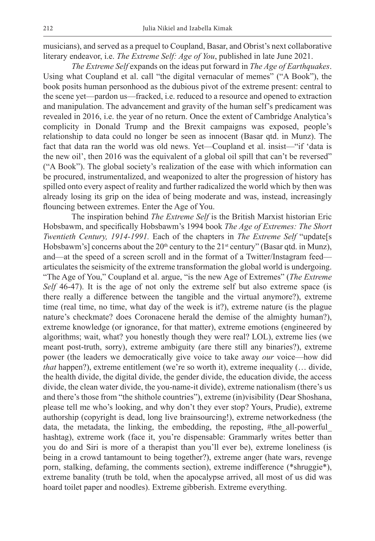musicians), and served as a prequel to Coupland, Basar, and Obrist's next collaborative literary endeavor, i.e. *The Extreme Self: Age of You*, published in late June 2021.

*The Extreme Self* expands on the ideas put forward in *The Age of Earthquakes*. Using what Coupland et al. call "the digital vernacular of memes" ("A Book"), the book posits human personhood as the dubious pivot of the extreme present: central to the scene yet—pardon us—fracked, i.e. reduced to a resource and opened to extraction and manipulation. The advancement and gravity of the human self's predicament was revealed in 2016, i.e. the year of no return. Once the extent of Cambridge Analytica's complicity in Donald Trump and the Brexit campaigns was exposed, people's relationship to data could no longer be seen as innocent (Basar qtd. in Munz). The fact that data ran the world was old news. Yet—Coupland et al. insist—"if 'data is the new oil', then 2016 was the equivalent of a global oil spill that can't be reversed" ("A Book"). The global society's realization of the ease with which information can be procured, instrumentalized, and weaponized to alter the progression of history has spilled onto every aspect of reality and further radicalized the world which by then was already losing its grip on the idea of being moderate and was, instead, increasingly flouncing between extremes. Enter the Age of You.

The inspiration behind *The Extreme Self* is the British Marxist historian Eric Hobsbawm, and specifically Hobsbawm's 1994 book *The Age of Extremes: The Short Twentieth Century, 1914-1991.* Each of the chapters in *The Extreme Self* "update[s Hobsbawm's] concerns about the  $20<sup>th</sup>$  century to the  $21<sup>st</sup>$  century" (Basar qtd. in Munz), and—at the speed of a screen scroll and in the format of a Twitter/Instagram feed articulates the seismicity of the extreme transformation the global world is undergoing. "The Age of You," Coupland et al. argue, "is the new Age of Extremes" (*The Extreme Self* 46-47). It is the age of not only the extreme self but also extreme space (is there really a difference between the tangible and the virtual anymore?), extreme time (real time, no time, what day of the week is it?), extreme nature (is the plague nature's checkmate? does Coronacene herald the demise of the almighty human?), extreme knowledge (or ignorance, for that matter), extreme emotions (engineered by algorithms; wait, what? you honestly though they were real? LOL), extreme lies (we meant post-truth, sorry), extreme ambiguity (are there still any binaries?), extreme power (the leaders we democratically give voice to take away *our* voice—how did *that* happen?), extreme entitlement (we're so worth it), extreme inequality (... divide, the health divide, the digital divide, the gender divide, the education divide, the access divide, the clean water divide, the you-name-it divide), extreme nationalism (there's us and there's those from "the shithole countries"), extreme (in)visibility (Dear Shoshana, please tell me who's looking, and why don't they ever stop? Yours, Prudie), extreme authorship (copyright is dead, long live brainsourcing!), extreme networkedness (the data, the metadata, the linking, the embedding, the reposting, #the\_all-powerful\_ hashtag), extreme work (face it, you're dispensable: Grammarly writes better than you do and Siri is more of a therapist than you'll ever be), extreme loneliness (is being in a crowd tantamount to being together?), extreme anger (hate wars, revenge porn, stalking, defaming, the comments section), extreme indifference (\*shruggie\*), extreme banality (truth be told, when the apocalypse arrived, all most of us did was hoard toilet paper and noodles). Extreme gibberish. Extreme everything.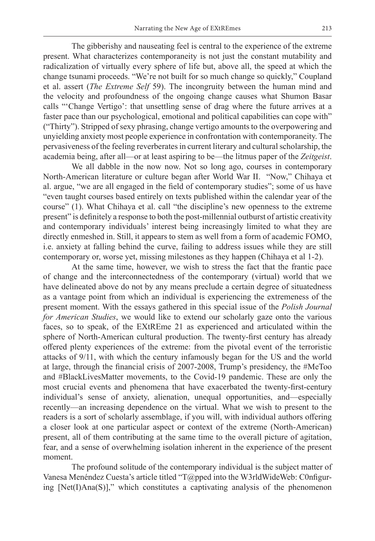The gibberishy and nauseating feel is central to the experience of the extreme present. What characterizes contemporaneity is not just the constant mutability and radicalization of virtually every sphere of life but, above all, the speed at which the change tsunami proceeds. "We're not built for so much change so quickly," Coupland et al. assert (*The Extreme Self* 59). The incongruity between the human mind and the velocity and profoundness of the ongoing change causes what Shumon Basar calls "'Change Vertigo': that unsettling sense of drag where the future arrives at a faster pace than our psychological, emotional and political capabilities can cope with" ("Thirty"). Stripped of sexy phrasing, change vertigo amounts to the overpowering and unyielding anxiety most people experience in confrontation with contemporaneity. The pervasiveness of the feeling reverberates in current literary and cultural scholarship, the academia being, after all—or at least aspiring to be—the litmus paper of the *Zeitgeist*.

We all dabble in the now now. Not so long ago, courses in contemporary North-American literature or culture began after World War II. "Now," Chihaya et al. argue, "we are all engaged in the field of contemporary studies"; some of us have "even taught courses based entirely on texts published within the calendar year of the course" (1). What Chihaya et al. call "the discipline's new openness to the extreme present" is definitely a response to both the post-millennial outburst of artistic creativity and contemporary individuals' interest being increasingly limited to what they are directly enmeshed in. Still, it appears to stem as well from a form of academic FOMO, i.e. anxiety at falling behind the curve, failing to address issues while they are still contemporary or, worse yet, missing milestones as they happen (Chihaya et al 1-2).

At the same time, however, we wish to stress the fact that the frantic pace of change and the interconnectedness of the contemporary (virtual) world that we have delineated above do not by any means preclude a certain degree of situatedness as a vantage point from which an individual is experiencing the extremeness of the present moment. With the essays gathered in this special issue of the *Polish Journal for American Studies*, we would like to extend our scholarly gaze onto the various faces, so to speak, of the EXtREme 21 as experienced and articulated within the sphere of North-American cultural production. The twenty-first century has already offered plenty experiences of the extreme: from the pivotal event of the terroristic attacks of 9/11, with which the century infamously began for the US and the world at large, through the financial crisis of 2007-2008, Trump's presidency, the #MeToo and #BlackLivesMatter movements, to the Covid-19 pandemic. These are only the most crucial events and phenomena that have exacerbated the twenty-first-century individual's sense of anxiety, alienation, unequal opportunities, and—especially recently—an increasing dependence on the virtual. What we wish to present to the readers is a sort of scholarly assemblage, if you will, with individual authors offering a closer look at one particular aspect or context of the extreme (North-American) present, all of them contributing at the same time to the overall picture of agitation, fear, and a sense of overwhelming isolation inherent in the experience of the present moment.

The profound solitude of the contemporary individual is the subject matter of Vanesa Menéndez Cuesta's article titled "T@pped into the W3rldWideWeb: C0nfiguring [Net(I)Ana(S)]," which constitutes a captivating analysis of the phenomenon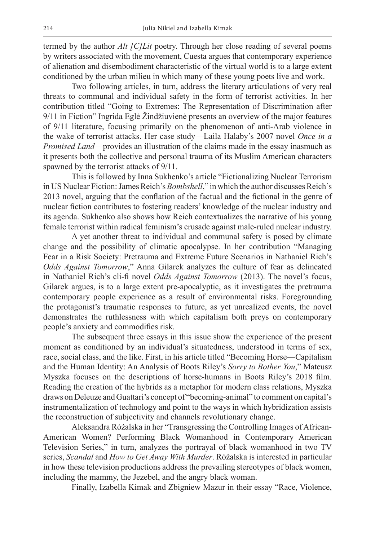termed by the author *Alt [C]Lit* poetry. Through her close reading of several poems by writers associated with the movement, Cuesta argues that contemporary experience of alienation and disembodiment characteristic of the virtual world is to a large extent conditioned by the urban milieu in which many of these young poets live and work.

Two following articles, in turn, address the literary articulations of very real threats to communal and individual safety in the form of terrorist activities. In her contribution titled "Going to Extremes: The Representation of Discrimination after 9/11 in Fiction" Ingrida Eglė Žindžiuvienė presents an overview of the major features of 9/11 literature, focusing primarily on the phenomenon of anti-Arab violence in the wake of terrorist attacks. Her case study—Laila Halaby's 2007 novel *Once in a Promised Land*—provides an illustration of the claims made in the essay inasmuch as it presents both the collective and personal trauma of its Muslim American characters spawned by the terrorist attacks of 9/11.

This is followed by Inna Sukhenko's article "Fictionalizing Nuclear Terrorism in US Nuclear Fiction: James Reich's *Bombshell*," in which the author discusses Reich's 2013 novel, arguing that the conflation of the factual and the fictional in the genre of nuclear fiction contributes to fostering readers' knowledge of the nuclear industry and its agenda. Sukhenko also shows how Reich contextualizes the narrative of his young female terrorist within radical feminism's crusade against male-ruled nuclear industry.

A yet another threat to individual and communal safety is posed by climate change and the possibility of climatic apocalypse. In her contribution "Managing Fear in a Risk Society: Pretrauma and Extreme Future Scenarios in Nathaniel Rich's *Odds Against Tomorrow*," Anna Gilarek analyzes the culture of fear as delineated in Nathaniel Rich's cli-fi novel *Odds Against Tomorrow* (2013). The novel's focus, Gilarek argues, is to a large extent pre-apocalyptic, as it investigates the pretrauma contemporary people experience as a result of environmental risks. Foregrounding the protagonist's traumatic responses to future, as yet unrealized events, the novel demonstrates the ruthlessness with which capitalism both preys on contemporary people's anxiety and commodifies risk.

The subsequent three essays in this issue show the experience of the present moment as conditioned by an individual's situatedness, understood in terms of sex, race, social class, and the like. First, in his article titled "Becoming Horse—Capitalism and the Human Identity: An Analysis of Boots Riley's *Sorry to Bother You*," Mateusz Myszka focuses on the descriptions of horse-humans in Boots Riley's 2018 film. Reading the creation of the hybrids as a metaphor for modern class relations, Myszka draws on Deleuze and Guattari's concept of "becoming-animal" to comment on capital's instrumentalization of technology and point to the ways in which hybridization assists the reconstruction of subjectivity and channels revolutionary change.

Aleksandra Różalska in her "Transgressing the Controlling Images of African-American Women? Performing Black Womanhood in Contemporary American Television Series," in turn, analyzes the portrayal of black womanhood in two TV series, *Scandal* and *How to Get Away With Murder*. Różalska is interested in particular in how these television productions address the prevailing stereotypes of black women, including the mammy, the Jezebel, and the angry black woman.

Finally, Izabella Kimak and Zbigniew Mazur in their essay "Race, Violence,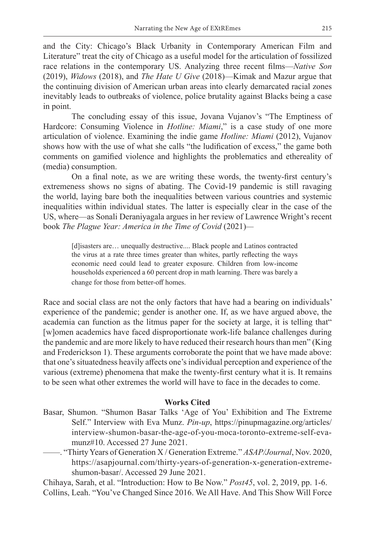and the City: Chicago's Black Urbanity in Contemporary American Film and Literature" treat the city of Chicago as a useful model for the articulation of fossilized race relations in the contemporary US. Analyzing three recent films—*Native Son* (2019), *Widows* (2018), and *The Hate U Give* (2018)—Kimak and Mazur argue that the continuing division of American urban areas into clearly demarcated racial zones inevitably leads to outbreaks of violence, police brutality against Blacks being a case in point.

The concluding essay of this issue, Jovana Vujanov's "The Emptiness of Hardcore: Consuming Violence in *Hotline: Miami*," is a case study of one more articulation of violence. Examining the indie game *Hotline: Miami* (2012), Vujanov shows how with the use of what she calls "the ludification of excess," the game both comments on gamified violence and highlights the problematics and ethereality of (media) consumption.

On a final note, as we are writing these words, the twenty-first century's extremeness shows no signs of abating. The Covid-19 pandemic is still ravaging the world, laying bare both the inequalities between various countries and systemic inequalities within individual states. The latter is especially clear in the case of the US, where—as Sonali Deraniyagala argues in her review of Lawrence Wright's recent book *The Plague Year: America in the Time of Covid* (2021)*—*

[d]isasters are… unequally destructive.... Black people and Latinos contracted the virus at a rate three times greater than whites, partly reflecting the ways economic need could lead to greater exposure. Children from low-income households experienced a 60 percent drop in math learning. There was barely a change for those from better-off homes.

Race and social class are not the only factors that have had a bearing on individuals' experience of the pandemic; gender is another one. If, as we have argued above, the academia can function as the litmus paper for the society at large, it is telling that" [w]omen academics have faced disproportionate work-life balance challenges during the pandemic and are more likely to have reduced their research hours than men" (King and Frederickson 1). These arguments corroborate the point that we have made above: that one's situatedness heavily affects one's individual perception and experience of the various (extreme) phenomena that make the twenty-first century what it is. It remains to be seen what other extremes the world will have to face in the decades to come.

## **Works Cited**

- Basar, Shumon. "Shumon Basar Talks 'Age of You' Exhibition and The Extreme Self." Interview with Eva Munz. *Pin-up*, https://pinupmagazine.org/articles/ interview-shumon-basar-the-age-of-you-moca-toronto-extreme-self-evamunz#10. Accessed 27 June 2021.
- ——. "Thirty Years of Generation X / Generation Extreme." *ASAP/Journal*, Nov. 2020, https://asapjournal.com/thirty-years-of-generation-x-generation-extremeshumon-basar/. Accessed 29 June 2021.

Chihaya, Sarah, et al. "Introduction: How to Be Now." *Post45*, vol. 2, 2019, pp. 1-6. Collins, Leah. "You've Changed Since 2016. We All Have. And This Show Will Force